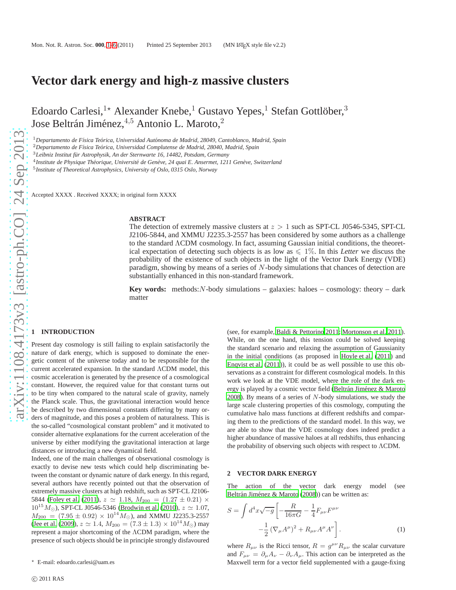# **Vector dark energy and high-z massive clusters**

Edoardo Carlesi, $^{1\star}$  Alexander Knebe, $^{1}$  Gustavo Yepes, $^{1}$  Stefan Gottlöber, $^{3}$ Jose Beltrán Jiménez, $4,5$  Antonio L. Maroto, $2$ 

<sup>1</sup>Departamento de Física Teórica, Universidad Autónoma de Madrid, 28049, Cantoblanco, Madrid, Spain

<sup>2</sup>Departamento de Física Teórica, Universidad Complutense de Madrid, 28040, Madrid, Spain

<sup>4</sup> Institute de Physique Théorique, Université de Genève, 24 quai E. Ansermet, 1211 Genève, Switzerland

5 *Institute of Theoretical Astrophysics, University of Oslo, 0315 Oslo, Norway*

Accepted XXXX . Received XXXX; in original form XXXX

#### **ABSTRACT**

The detection of extremely massive clusters at  $z > 1$  such as SPT-CL J0546-5345, SPT-CL J2106-5844, and XMMU J2235.3-2557 has been considered by some authors as a challenge to the standard ΛCDM cosmology. In fact, assuming Gaussian initial conditions, the theoretical expectation of detecting such objects is as low as  $\leq 1\%$ . In this *Letter* we discuss the probability of the existence of such objects in the light of the Vector Dark Energy (VDE) paradigm, showing by means of a series of N-body simulations that chances of detection are substantially enhanced in this non-standard framework.

**Key words:** methods: $N$ -body simulations – galaxies: haloes – cosmology: theory – dark matter

### <span id="page-0-0"></span>**1 INTRODUCTION**

Present day cosmology is still failing to explain satisfactorily the nature of dark energy, which is supposed to dominate the energetic content of the universe today and to be responsible for the current accelerated expansion. In the standard ΛCDM model, this cosmic acceleration is generated by the presence of a cosmological constant. However, the required value for that constant turns out to be tiny when compared to the natural scale of gravity, namely the Planck scale. Thus, the gravitational interaction would hence be described by two dimensional constants differing by many orders of magnitude, and this poses a problem of naturalness. This is the so-called "cosmological constant problem" and it motivated to consider alternative explanations for the current acceleration of the universe by either modifying the gravitational interaction at large distances or introducing a new dynamical field.

Indeed, one of the main challenges of observational cosmology is exactly to devise new tests which could help discriminating between the constant or dynamic nature of dark energy. In this regard, several authors have recently pointed out that the observation of extremely massive clusters at high redshift, such as SPT-CL J2106- 5844 [\(Foley et al. \(2011](#page-4-0)),  $z \approx 1.18$ ,  $M_{200} = (1.27 \pm 0.21) \times$  $10^{15} M_{\odot}$ ), SPT-CL J0546-5346 [\(Brodwin et al. \(2010](#page-4-1)),  $z \simeq 1.07$ ,  $M_{200} = (7.95 \pm 0.92) \times 10^{14} M_{\odot}$ ), and XMMU J2235.3-2557 [\(Jee et al.](#page-4-2) [\(2009](#page-4-2)),  $z \approx 1.4$ ,  $M_{200} = (7.3 \pm 1.3) \times 10^{14} M_{\odot}$ ) may represent a major shortcoming of the ΛCDM paradigm, where the presence of such objects should be in principle strongly disfavoured

(see, for example, [Baldi & Pettorino 2011](#page-4-3); [Mortonson et al. 2011](#page-4-4)). While, on the one hand, this tension could be solved keeping the standard scenario and relaxing the assumption of Gaussianity in the initial conditions (as proposed in [Hoyle et al.](#page-4-5) [\(2011](#page-4-5)) and [Enqvist et al. \(2011](#page-4-6))), it could be as well possible to use this observations as a constraint for different cosmological models. In this work we look at the VDE model, where the role of the dark energy is played by a cosmic vector field (Beltrán Jiménez & Maroto [2008](#page-4-7)). By means of a series of  $N$ -body simulations, we study the large scale clustering properties of this cosmology, computing the cumulative halo mass functions at different redshifts and comparing them to the predictions of the standard model. In this way, we are able to show that the VDE cosmology does indeed predict a higher abundance of massive haloes at all redshifts, thus enhancing the probability of observing such objects with respect to ΛCDM.

#### **2 VECTOR DARK ENERGY**

The action of the vector dark energy model (see Beltrán Jiménez & Maroto (2008)) can be written as:

$$
S = \int d^4x \sqrt{-g} \left[ -\frac{R}{16\pi G} - \frac{1}{4} F_{\mu\nu} F^{\mu\nu} - \frac{1}{2} \left( \nabla_{\mu} A^{\mu} \right)^2 + R_{\mu\nu} A^{\mu} A^{\nu} \right].
$$
 (1)

where  $R_{\mu\nu}$  is the Ricci tensor,  $R = g^{\mu\nu} R_{\mu\nu}$  the scalar curvature and  $F_{\mu\nu} = \partial_{\mu}A_{\nu} - \partial_{\nu}A_{\mu}$ . This action can be interpreted as the Maxwell term for a vector field supplemented with a gauge-fixing

<sup>&</sup>lt;sup>3</sup>Leibniz Institut für Astrophysik, An der Sternwarte 16, 14482, Potsdam, Germany

<sup>⋆</sup> E-mail: edoardo.carlesi@uam.es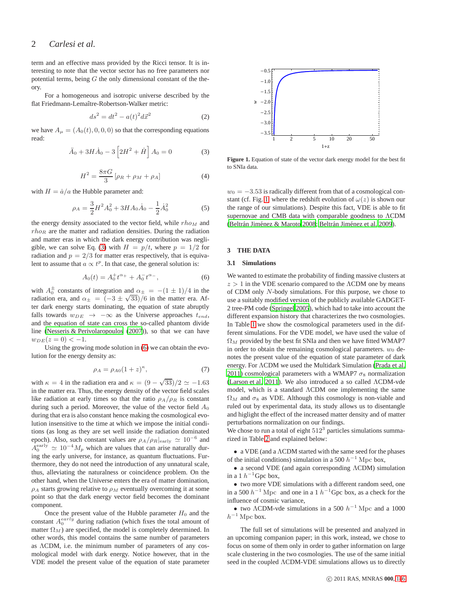### 2 *Carlesi et al.*

term and an effective mass provided by the Ricci tensor. It is interesting to note that the vector sector has no free parameters nor potential terms, being  $G$  the only dimensional constant of the theory.

For a homogeneous and isotropic universe described by the flat Friedmann-Lemaître-Robertson-Walker metric:

$$
ds^2 = dt^2 - a(t)^2 d\vec{x}^2 \tag{2}
$$

we have  $A_{\mu} = (A_0(t), 0, 0, 0)$  so that the corresponding equations read:

<span id="page-1-0"></span>
$$
\ddot{A}_0 + 3H\dot{A}_0 - 3\left[2H^2 + \dot{H}\right]A_0 = 0
$$
 (3)

$$
H^{2} = \frac{8\pi G}{3} [\rho_{R} + \rho_{M} + \rho_{A}]
$$
 (4)

with  $H = \dot{a}/a$  the Hubble parameter and:

$$
\rho_A = \frac{3}{2}H^2A_0^2 + 3HA_0\dot{A}_0 - \frac{1}{2}\dot{A}_0^2\tag{5}
$$

the energy density associated to the vector field, while  $rho_M$  and  $rho_R$  are the matter and radiation densities. During the radiation and matter eras in which the dark energy contribution was negli-gible, we can solve Eq. [\(3\)](#page-1-0) with  $H = p/t$ , where  $p = 1/2$  for radiation and  $p = 2/3$  for matter eras respectively, that is equivalent to assume that  $a \propto t^p$ . In that case, the general solution is:

<span id="page-1-1"></span>
$$
A_0(t) = A_0^+ t^{\alpha_+} + A_0^- t^{\alpha_-}, \qquad (6)
$$

with  $A_0^{\pm}$  constants of integration and  $\alpha_{\pm} = -(1 \pm 1)/4$  in the radiation era, and  $\alpha_{\pm} = (-3 \pm \sqrt{33})/6$  in the matter era. After dark energy starts dominating, the equation of state abruptly falls towards  $w_{DE} \rightarrow -\infty$  as the Universe approaches  $t_{end}$ , and the equation of state can cross the so-called phantom divide line [\(Nesseris & Perivolaropoulos \(2007\)](#page-4-8)), so that we can have  $w_{DE}(z=0) < -1.$ 

Using the growing mode solution in [\(6\)](#page-1-1) we can obtain the evolution for the energy density as:

$$
\rho_A = \rho_{A0} (1+z)^{\kappa},\tag{7}
$$

with  $\kappa = 4$  in the radiation era and  $\kappa = (9 - \sqrt{33})/2 \simeq -1.63$ in the matter era. Thus, the energy density of the vector field scales like radiation at early times so that the ratio  $\rho_A/\rho_R$  is constant during such a period. Moreover, the value of the vector field  $A_0$ during that era is also constant hence making the cosmological evolution insensitive to the time at which we impose the initial conditions (as long as they are set well inside the radiation dominated epoch). Also, such constant values are  $\rho_A/\rho_R|_{\text{early}} \simeq 10^{-6}$  and  $A_0^{\text{early}} \simeq 10^{-4} M_p$  which are values that can arise naturally during the early universe, for instance, as quantum fluctuations. Furthermore, they do not need the introduction of any unnatural scale, thus, alleviating the naturalness or coincidence problem. On the other hand, when the Universe enters the era of matter domination,  $\rho_A$  starts growing relative to  $\rho_M$  eventually overcoming it at some point so that the dark energy vector field becomes the dominant component.

Once the present value of the Hubble parameter  $H_0$  and the constant  $A_0^{early}$  during radiation (which fixes the total amount of matter  $\Omega_M$ ) are specified, the model is completely determined. In other words, this model contains the same number of parameters as ΛCDM, i.e. the minimum number of parameters of any cosmological model with dark energy. Notice however, that in the VDE model the present value of the equation of state parameter



<span id="page-1-2"></span>Figure 1. Equation of state of the vector dark energy model for the best fit to SNIa data.

 $w_0 = -3.53$  is radically different from that of a cosmological con-stant (cf. Fig. [1,](#page-1-2) where the redshift evolution of  $\omega(z)$  is shown our the range of our simulations). Despite this fact, VDE is able to fit supernovae and CMB data with comparable goodness to ΛCDM (Beltrán Jiménez & Maroto 2008; Beltrán Jiménez et al. 2009).

### **3 THE DATA**

#### **3.1 Simulations**

We wanted to estimate the probability of finding massive clusters at  $z > 1$  in the VDE scenario compared to the  $\Lambda$ CDM one by means of CDM only N-body simulations. For this purpose, we chose to use a suitably modified version of the publicly available GADGET-2 tree-PM code [\(Springel 2005](#page-4-10)), which had to take into account the different expansion history that characterizes the two cosmologies. In Table [1](#page-2-0) we show the cosmological parameters used in the different simulations. For the VDE model, we have used the value of  $\Omega_M$  provided by the best fit SNIa and then we have fitted WMAP7 in order to obtain the remaining cosmological parameters.  $w_0$  denotes the present value of the equation of state parameter of dark energy. For ΛCDM we used the Multidark Simulation [\(Prada et al.](#page-4-11) [2011](#page-4-11)) cosmological parameters with a WMAP7  $\sigma_8$  normalization [\(Larson et al. 2011](#page-4-12)). We also introduced a so called ΛCDM-vde model, which is a standard ΛCDM one implementing the same  $\Omega_M$  and  $\sigma_8$  as VDE. Although this cosmology is non-viable and ruled out by experimental data, its study allows us to disentangle and higlight the effect of the increased matter density and of matter perturbations normalization on our findings.

We chose to run a total of eight  $512<sup>3</sup>$  particles simulations summarized in Table [2](#page-2-1) and explained below:

• a VDE (and a ΛCDM started with the same seed for the phases of the initial conditions) simulation in a 500  $h^{-1}$  Mpc box,

• a second VDE (and again corresponding ΛCDM) simulation in a 1  $h^{-1}$ Gpc box,

• two more VDE simulations with a different random seed, one in a 500  $h^{-1}$  Mpc and one in a 1  $h^{-1}$ Gpc box, as a check for the influence of cosmic variance,

• two  $\Lambda$ CDM-vde simulations in a 500  $h^{-1}$  Mpc and a 1000  $h^{-1}$  Mpc box.

The full set of simulations will be presented and analyzed in an upcoming companion paper; in this work, instead, we chose to focus on some of them only in order to gather information on large scale clustering in the two cosmologies. The use of the same initial seed in the coupled ΛCDM-VDE simulations allows us to directly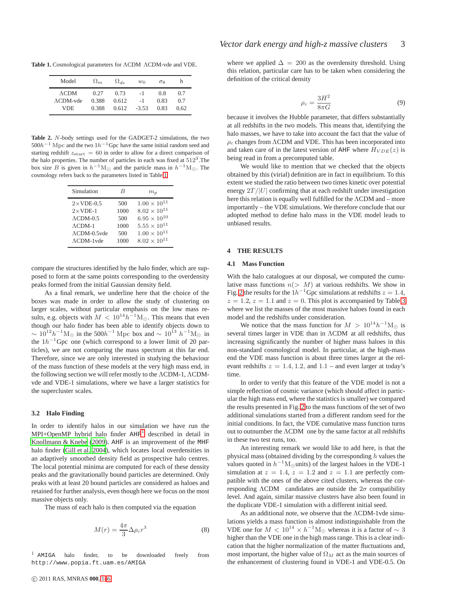**Table 1.** Cosmological parameters for ΛCDM ΛCDM-vde and VDE.

<span id="page-2-0"></span>

| Model             | $\Omega_m$ | $\Omega_{de}$ | $w_0$   | $\sigma$ <sup>8</sup> | h    |
|-------------------|------------|---------------|---------|-----------------------|------|
| $\Lambda$ CDM     | 0.27       | 0.73          | $-1$    | 0.8                   | 0.7  |
| $\Lambda$ CDM-vde | 0.388      | 0.612         | $-1$    | 0.83                  | 0.7  |
| VDE               | 0.388      | 0.612         | $-3.53$ | 0.83                  | 0.62 |

<span id="page-2-1"></span>**Table 2.** N-body settings used for the GADGET-2 simulations, the two  $500h^{-1}$  Mpc and the two  $1h^{-1}$  Gpc have the same initial random seed and starting redshift  $z_{\text{start}} = 60$  in order to allow for a direct comparison of the halo properties. The number of particles in each was fixed at  $512^3$ . The box size B is given in  $h^{-1}M_{\odot}$  and the particle mass in  $h^{-1}M_{\odot}$ . The cosmology refers back to the parameters listed in Table [1.](#page-2-0)

| Simulation            | R    | $m_{\rm n}$           |
|-----------------------|------|-----------------------|
| $2 \times$ VDE-0.5    | 500  | $1.00 \times 10^{11}$ |
| $2 \times$ VDE-1      | 1000 | $8.02\times10^{11}$   |
| $\Lambda$ CDM-0.5     | 500  | $6.95 \times 10^{10}$ |
| $\Lambda$ CDM-1       | 1000 | $5.55 \times 10^{11}$ |
| $\Lambda$ CDM-0.5 vde | 500  | $1.00 \times 10^{11}$ |
| $\Lambda$ CDM-1 vde   | 1000 | $8.02 \times 10^{11}$ |

compare the structures identified by the halo finder, which are supposed to form at the same points corresponding to the overdensity peaks formed from the initial Gaussian density field.

As a final remark, we underline here that the choice of the boxes was made in order to allow the study of clustering on larger scales, without particular emphasis on the low mass results, e.g. objects with  $M < 10^{14} h^{-1} M_{\odot}$ . This means that even though our halo finder has been able to identify objects down to  $\sim 10^{12} h^{-1} M_{\odot}$  in the 500 $h^{-1}$  Mpc box and  $\sim 10^{13} h^{-1} M_{\odot}$  in the  $1h^{-1}$ Gpc one (which correspond to a lower limit of 20 particles), we are not comparing the mass spectrum at this far end. Therefore, since we are only interested in studying the behaviour of the mass function of these models at the very high mass end, in the following section we will refer mostly to the ΛCDM-1, ΛCDMvde and VDE-1 simulations, where we have a larger statistics for the supercluster scales.

#### **3.2 Halo Finding**

In order to identify halos in our simulation we have run the  $MPI+OpenMP$  hybrid halo finder  $AHF<sup>1</sup>$  $AHF<sup>1</sup>$  $AHF<sup>1</sup>$  described in detail in [Knollmann & Knebe \(2009](#page-4-13)). AHF is an improvement of the MHF halo finder [\(Gill et al. 2004](#page-4-14)), which locates local overdensities in an adaptively smoothed density field as prospective halo centres. The local potential minima are computed for each of these density peaks and the gravitationally bound particles are determined. Only peaks with at least 20 bound particles are considered as haloes and retained for further analysis, even though here we focus on the most massive objects only.

The mass of each halo is then computed via the equation

$$
M(r) = \frac{4\pi}{3} \Delta \rho_c r^3 \tag{8}
$$

<span id="page-2-2"></span><sup>1</sup> AMIGA halo finder, to be downloaded freely from http://www.popia.ft.uam.es/AMIGA

where we applied  $\Delta = 200$  as the overdensity threshold. Using this relation, particular care has to be taken when considering the definition of the critical density

$$
\rho_c = \frac{3H^2}{8\pi G} \tag{9}
$$

because it involves the Hubble parameter, that differs substantially at all redshifts in the two models. This means that, identifying the halo masses, we have to take into account the fact that the value of  $\rho_c$  changes from  $\Lambda$ CDM and VDE. This has been incorporated into and taken care of in the latest version of AHF where  $H_{VDE}(z)$  is being read in from a precomputed table.

We would like to mention that we checked that the objects obtained by this (virial) definition are in fact in equilibrium. To this extent we studied the ratio between two times kinetic over potential energy  $2T / |U|$  confirming that at each redshift under investigation here this relation is equally well fulfilled for the ΛCDM and – more importantly – the VDE simulations. We therefore conclude that our adopted method to define halo mass in the VDE model leads to unbiased results.

### **4 THE RESULTS**

#### **4.1 Mass Function**

With the halo catalogues at our disposal, we computed the cumulative mass functions  $n(> M)$  at various redshifts. We show in Fig. [2](#page-3-0) the results for the  $1h^{-1}$ Gpc simulations at redshifts  $z = 1.4$ ,  $z = 1.2$ ,  $z = 1.1$  and  $z = 0$ . This plot is accompanied by Table [3](#page-3-1) where we list the masses of the most massive haloes found in each model and the redshifts under consideration.

We notice that the mass function for  $M > 10^{14} h^{-1} M_{\odot}$  is several times larger in VDE than in ΛCDM at all redshifts, thus increasing significantly the number of higher mass haloes in this non-standard cosmological model. In particular, at the high-mass end the VDE mass function is about three times larger at the relevant redshifts  $z = 1.4, 1.2,$  and  $1.1$  – and even larger at today's time.

In order to verify that this feature of the VDE model is not a simple reflection of cosmic variance (which should affect in particular the high mass end, where the statistics is smaller) we compared the results presented in Fig. [2](#page-3-0) to the mass functions of the set of two additional simulations started from a different random seed for the initial conditions. In fact, the VDE cumulative mass function turns out to outnumber the ΛCDM one by the same factor at all redshifts in these two test runs, too.

An interesting remark we would like to add here, is that the physical mass (obtained dividing by the corresponding  $h$  values the values quoted in  $h^{-1}M_{\odot}$ units) of the largest haloes in the VDE-1 simulation at  $z = 1.4$ ,  $z = 1.2$  and  $z = 1.1$  are perfectly compatible with the ones of the above cited clusters, whereas the corresponding  $\Lambda$ CDM candidates are outside the  $2\sigma$  compatibility level. And again, similar massive clusters have also been found in the duplicate VDE-1 simulation with a different initial seed.

As an additional note, we observe that the ΛCDM-1vde simulations yields a mass function is almost indistinguishable from the VDE one for  $M < 10^{14} \times h^{-1}$ M<sub>☉</sub> whereas it is a factor of  $\sim 3$ higher than the VDE one in the high mass range. This is a clear indication that the higher normalization of the matter fluctuations and, most important, the higher value of  $\Omega_M$  act as the main sources of the enhancement of clustering found in VDE-1 and VDE-0.5. On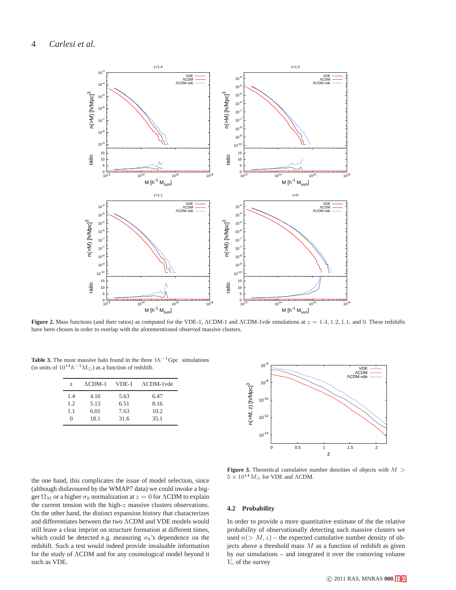

<span id="page-3-0"></span>**Figure 2.** Mass functions (and their ratios) as computed for the VDE-1, ΛCDM-1 and ΛCDM-1vde simulations at  $z = 1.4, 1.2, 1.1$ , and 0. These redshifts have been chosen in order to overlap with the aforementioned observed massive clusters.

**Table 3.** The most massive halo found in the three  $1h^{-1}$ Gpc simulations (in units of  $10^{14}h^{-1}M_{\odot}$ ) as a function of redshift.

<span id="page-3-1"></span>

| Z   | $\Lambda$ CDM-1 | VDE-1 | $\Lambda$ CDM-1 vde |
|-----|-----------------|-------|---------------------|
| 14  | 4.16            | 5.63  | 6.47                |
| 1.2 | 5.13            | 6.51  | 8.16                |
| 1.1 | 6.01            | 7.63  | 10.2                |
| ∩   | 18.1            | 31.6  | 35.1                |



the one hand, this complicates the issue of model selection, since (although disfavoured by the WMAP7 data) we could invoke a bigger  $\Omega_M$  or a higher  $\sigma_8$  normalization at  $z = 0$  for  $\Lambda$ CDM to explain the current tension with the high-z massive clusters observations. On the other hand, the distinct expansion history that characterizes and differentiates between the two ΛCDM and VDE models would still leave a clear imprint on structure formation at different times, which could be detected e.g. measuring  $\sigma_8$ 's dependence on the redshift. Such a test would indeed provide invaluable information for the study of ΛCDM and for any cosmological model beyond it such as VDE.

<span id="page-3-2"></span>**Figure 3.** Theoretical cumulative number densities of objects with  $M >$  $5 \times 10^{14} M_{\odot}$  for VDE and  $\Lambda$ CDM.

### **4.2 Probability**

In order to provide a more quantitative estimate of the the relative probability of observationally detecting such massive clusters we used  $n(> M, z)$  – the expected cumulative number density of objects above a threshold mass  $M$  as a function of redshift as given by our simulations – and integrated it over the comoving volume  $V_c$  of the survey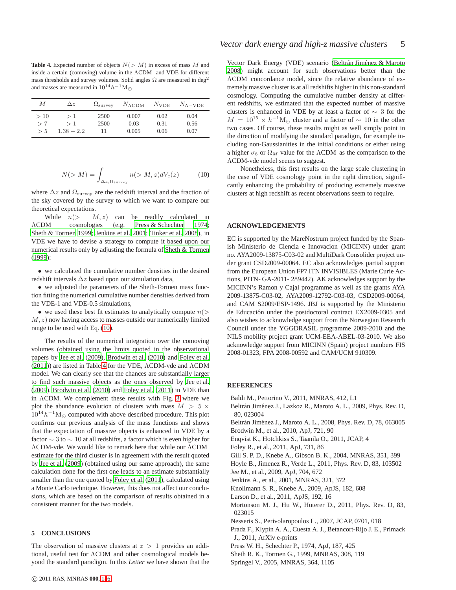<span id="page-4-19"></span>**Table 4.** Expected number of objects  $N(> M)$  in excess of mass M and inside a certain (comoving) volume in the ΛCDM and VDE for different mass thresholds and survey volumes. Solid angles  $\Omega$  are measured in deg<sup>2</sup> and masses are measured in  $10^{14}h^{-1}\mathrm{M}_\odot$  .

| М   | $\Delta z$   | $\Omega_{\rm survey}$ |       |      | $N_{\Lambda\text{CDM}}$ $N_{\text{VDE}}$ $N_{\Lambda-\text{VDE}}$ |
|-----|--------------|-----------------------|-------|------|-------------------------------------------------------------------|
| >10 | >1           | 2500                  | 0.007 | 0.02 | 0.04                                                              |
| > 7 | >1           | 2500                  | 0.03  | 0.31 | 0.56                                                              |
| > 5 | $1.38 - 2.2$ | 11                    | 0.005 | 0.06 | 0.07                                                              |

<span id="page-4-18"></span>
$$
N(>M) = \int_{\Delta z, \Omega_{\text{survey}}} n(>M, z) dV_c(z) \tag{10}
$$

where  $\Delta z$  and  $\Omega_{\text{survey}}$  are the redshift interval and the fraction of the sky covered by the survey to which we want to compare our theoretical expectations.

While  $n(> M, z)$  can be readily calculated in ΛCDM cosmologies (e.g. [Press & Schechter 1974;](#page-4-15) [Sheth & Tormen 1999;](#page-4-16) [Jenkins et al. 2001;](#page-4-17) [Tinker et al. 2008\)](#page-5-0), in VDE we have to devise a strategy to compute it based upon our numerical results only by adjusting the formula of [Sheth & Tormen](#page-4-16) [\(1999](#page-4-16)):

• we calculated the cumulative number densities in the desired redshift intervals ∆z based upon our simulation data,

• we adjusted the parameters of the Sheth-Tormen mass function fitting the numerical cumulative number densities derived from the VDE-1 and VDE-0.5 simulations,

• we used these best fit estimates to analytically compute  $n(>$  $M, z$ ) now having access to masses outside our numerically limited range to be used with Eq. [\(10\)](#page-4-18).

The results of the numerical integration over the comoving volumes (obtained using the limits quoted in the observational papers by [Jee et al. \(2009\)](#page-4-2), [Brodwin et al. \(2010](#page-4-1)) and [Foley et](#page-4-0) al. [\(2011](#page-4-0))) are listed in Table [4](#page-4-19) for the VDE, ΛCDM-vde and ΛCDM model. We can clearly see that the chances are substantially larger to find such massive objects as the ones observed by [Jee et al.](#page-4-2) [\(2009](#page-4-2)), [Brodwin et al. \(2010](#page-4-1)) and [Foley et al. \(2011\)](#page-4-0) in VDE than in ΛCDM. We complement these results with Fig. [3](#page-3-2) where we plot the abundance evolution of clusters with mass  $M > 5 \times$  $10^{14}h^{-1}\text{M}_{\odot}$  computed with above described procedure. This plot confirms our previous analysis of the mass functions and shows that the expectation of massive objects is enhanced in VDE by a factor  $\sim$  3 to  $\sim$  10 at all redshifts, a factor which is even higher for ΛCDM-vde. We would like to remark here that while our ΛCDM estimate for the third cluster is in agreement with the result quoted by [Jee et al. \(2009](#page-4-2)) (obtained using our same approach), the same calculation done for the first one leads to an estimate substantially smaller than the one quoted by [Foley et al. \(2011](#page-4-0)), calculated using a Monte Carlo technique. However, this does not affect our conclusions, which are based on the comparison of results obtained in a consistent manner for the two models.

### **5 CONCLUSIONS**

The observation of massive clusters at  $z > 1$  provides an additional, useful test for ΛCDM and other cosmological models beyond the standard paradigm. In this *Letter* we have shown that the

Vector Dark Energy (VDE) scenario (Beltrán Jiménez & Maroto [2008](#page-4-7)) might account for such observations better than the ΛCDM concordance model, since the relative abundance of extremely massive cluster is at all redshifts higher in this non-standard cosmology. Computing the cumulative number density at different redshifts, we estimated that the expected number of massive clusters is enhanced in VDE by at least a factor of ∼ 3 for the  $M = 10^{15} \times h^{-1}$ M<sub>☉</sub> cluster and a factor of  $\sim 10$  in the other two cases. Of course, these results might as well simply point in the direction of modifying the standard paradigm, for example including non-Gaussianities in the initial conditions or either using a higher  $\sigma_8$  or  $\Omega_M$  value for the ΛCDM as the comparison to the ΛCDM-vde model seems to suggest.

Nonetheless, this first results on the large scale clustering in the case of VDE cosmology point in the right direction, significantly enhancing the probability of producing extremely massive clusters at high redshift as recent observations seem to require.

### **ACKNOWLEDGEMENTS**

EC is supported by the MareNostrum project funded by the Spanish Ministerio de Ciencia e Innovacion (MICINN) under grant no. AYA2009-13875-C03-02 and MultiDark Consolider project under grant CSD2009-00064. EC also acknowledges partial support from the European Union FP7 ITN INVISIBLES (Marie Curie Actions, PITN- GA-2011- 289442). AK acknowledges support by the MICINN's Ramon y Cajal programme as well as the grants AYA 2009-13875-C03-02, AYA2009-12792-C03-03, CSD2009-00064, and CAM S2009/ESP-1496. JBJ is supported by the Ministerio de Educación under the postdoctoral contract EX2009-0305 and also wishes to acknowledge support from the Norwegian Research Council under the YGGDRASIL programme 2009-2010 and the NILS mobility project grant UCM-EEA-ABEL-03-2010. We also acknowledge support from MICINN (Spain) project numbers FIS 2008-01323, FPA 2008-00592 and CAM/UCM 910309.

### **REFERENCES**

- <span id="page-4-3"></span>Baldi M., Pettorino V., 2011, MNRAS, 412, L1
- <span id="page-4-9"></span>Beltrán Jiménez J., Lazkoz R., Maroto A. L., 2009, Phys. Rev. D, 80, 023004
- <span id="page-4-7"></span>Beltrán Jiménez J., Maroto A. L., 2008, Phys. Rev. D, 78, 063005 Brodwin M., et al., 2010, ApJ, 721, 90
- <span id="page-4-6"></span><span id="page-4-1"></span>Enqvist K., Hotchkiss S., Taanila O., 2011, JCAP, 4
- <span id="page-4-0"></span>Foley R., et al., 2011, ApJ, 731, 86
- <span id="page-4-14"></span>Gill S. P. D., Knebe A., Gibson B. K., 2004, MNRAS, 351, 399
- <span id="page-4-5"></span>Hoyle B., Jimenez R., Verde L., 2011, Phys. Rev. D, 83, 103502
- <span id="page-4-2"></span>Jee M., et al., 2009, ApJ, 704, 672
- <span id="page-4-17"></span>Jenkins A., et al., 2001, MNRAS, 321, 372
- <span id="page-4-13"></span>Knollmann S. R., Knebe A., 2009, ApJS, 182, 608
- <span id="page-4-12"></span>Larson D., et al., 2011, ApJS, 192, 16
- <span id="page-4-4"></span>Mortonson M. J., Hu W., Huterer D., 2011, Phys. Rev. D, 83, 023015
- <span id="page-4-8"></span>Nesseris S., Perivolaropoulos L., 2007, JCAP, 0701, 018
- <span id="page-4-11"></span>Prada F., Klypin A. A., Cuesta A. J., Betancort-Rijo J. E., Primack J., 2011, ArXiv e-prints
- <span id="page-4-15"></span>Press W. H., Schechter P., 1974, ApJ, 187, 425
- <span id="page-4-16"></span>Sheth R. K., Tormen G., 1999, MNRAS, 308, 119
- <span id="page-4-10"></span>Springel V., 2005, MNRAS, 364, 1105